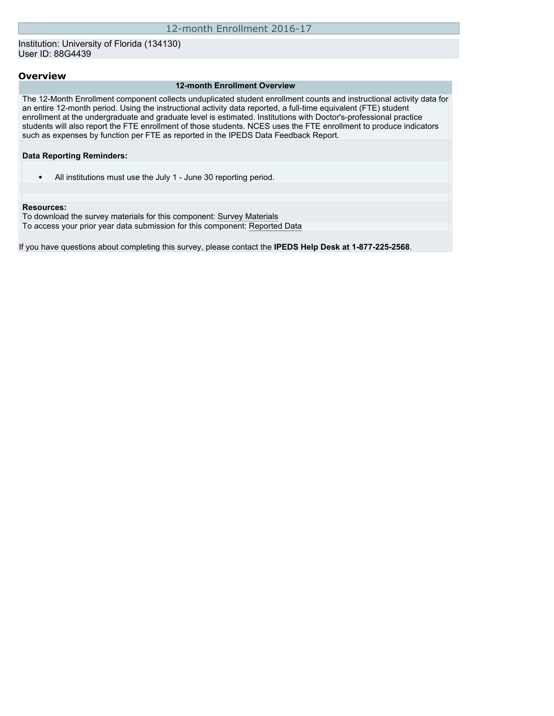Institution: University of Florida (134130) User ID: 88G4439

## **Overview**

#### **12-month Enrollment Overview**

The 12-Month Enrollment component collects unduplicated student enrollment counts and instructional activity data for an entire 12-month period. Using the instructional activity data reported, a full-time equivalent (FTE) student enrollment at the undergraduate and graduate level is estimated. Institutions with Doctor's-professional practice students will also report the FTE enrollment of those students. NCES uses the FTE enrollment to produce indicators such as expenses by function per FTE as reported in the IPEDS Data Feedback Report.

#### **Data Reporting Reminders:**

• All institutions must use the July 1 - June 30 reporting period.

#### **Resources:**

To download the survey materials for this component: [Survey Materials](https://surveys.nces.ed.gov/ipeds/VisIndex.aspx) To access your prior year data submission for this component: [Reported Data](http://192.168.102.89/IPEDS/PriorYearDataRedirect.aspx?survey_id=9)

If you have questions about completing this survey, please contact the **IPEDS Help Desk at 1-877-225-2568**.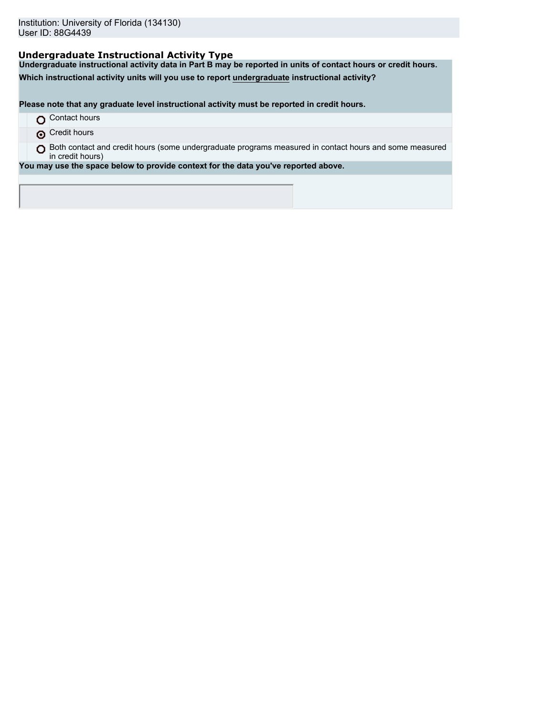# **Undergraduate Instructional Activity Type**

**Undergraduate instructional activity data in Part B may be reported in units of contact hours or credit hours.**

**Which instructional activity units will you use to report undergraduate instructional activity?**

**Please note that any graduate level instructional activity must be reported in credit hours.**

- **O** Contact hours
- **O** Credit hours

O Both contact and credit hours (some undergraduate programs measured in contact hours and some measured in credit hours)

**You may use the space below to provide context for the data you've reported above.**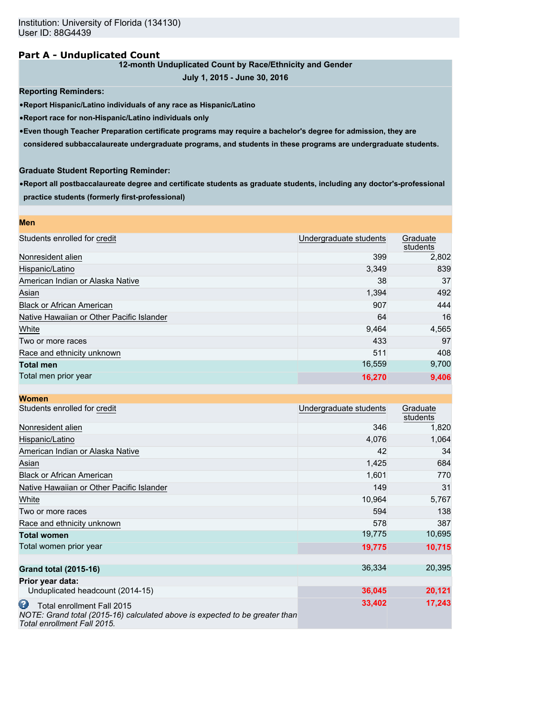## **Part A - Unduplicated Count**

## **12-month Unduplicated Count by Race/Ethnicity and Gender**

```
July 1, 2015 - June 30, 2016
```
**Reporting Reminders:**

•**Report Hispanic/Latino individuals of any race as Hispanic/Latino**

•**Report race for non-Hispanic/Latino individuals only**

•**Even though Teacher Preparation certificate programs may require a bachelor's degree for admission, they are**

**considered subbaccalaureate undergraduate programs, and students in these programs are undergraduate students.**

## **Graduate Student Reporting Reminder:**

•**Report all postbaccalaureate degree and certificate students as graduate students, including any doctor's-professional practice students (formerly first-professional)**

| <b>Men</b>                                |                        |                      |
|-------------------------------------------|------------------------|----------------------|
| Students enrolled for credit              | Undergraduate students | Graduate<br>students |
| Nonresident alien                         | 399                    | 2,802                |
| Hispanic/Latino                           | 3,349                  | 839                  |
| American Indian or Alaska Native          | 38                     | 37                   |
| Asian                                     | 1,394                  | 492                  |
| <b>Black or African American</b>          | 907                    | 444                  |
| Native Hawaiian or Other Pacific Islander | 64                     | 16                   |
| White                                     | 9,464                  | 4,565                |
| Two or more races                         | 433                    | 97                   |
| Race and ethnicity unknown                | 511                    | 408                  |
| <b>Total men</b>                          | 16,559                 | 9,700                |
| Total men prior year                      | 16,270                 | 9,406                |

| <b>Women</b>                                                                                                                                  |                        |                      |
|-----------------------------------------------------------------------------------------------------------------------------------------------|------------------------|----------------------|
| Students enrolled for credit                                                                                                                  | Undergraduate students | Graduate<br>students |
| Nonresident alien                                                                                                                             | 346                    | 1,820                |
| Hispanic/Latino                                                                                                                               | 4,076                  | 1,064                |
| American Indian or Alaska Native                                                                                                              | 42                     | 34                   |
| Asian                                                                                                                                         | 1,425                  | 684                  |
| <b>Black or African American</b>                                                                                                              | 1,601                  | 770                  |
| Native Hawaiian or Other Pacific Islander                                                                                                     | 149                    | 31                   |
| White                                                                                                                                         | 10,964                 | 5,767                |
| Two or more races                                                                                                                             | 594                    | 138                  |
| Race and ethnicity unknown                                                                                                                    | 578                    | 387                  |
| <b>Total women</b>                                                                                                                            | 19,775                 | 10,695               |
| Total women prior year                                                                                                                        | 19,775                 | 10,715               |
| <b>Grand total (2015-16)</b>                                                                                                                  | 36,334                 | 20,395               |
| Prior year data:                                                                                                                              |                        |                      |
| Unduplicated headcount (2014-15)                                                                                                              | 36,045                 | 20,121               |
| Ø<br>Total enrollment Fall 2015<br>NOTE: Grand total (2015-16) calculated above is expected to be greater than<br>Total enrollment Fall 2015. | 33,402                 | 17,243               |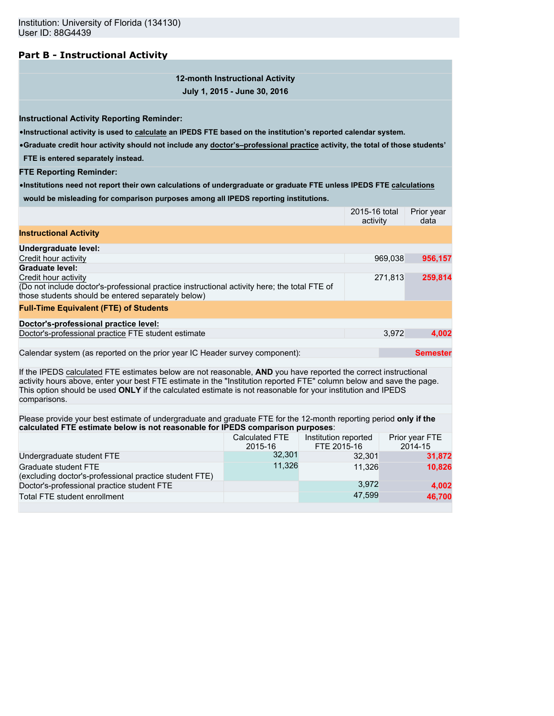# **Part B - Instructional Activity**

**12-month Instructional Activity July 1, 2015 - June 30, 2016**

**Instructional Activity Reporting Reminder:**

•**Instructional activity is used to calculate an IPEDS FTE based on the institution's reported calendar system.**

•**Graduate credit hour activity should not include any doctor's–professional practice activity, the total of those students'**

**FTE is entered separately instead.**

**FTE Reporting Reminder:**

•**Institutions need not report their own calculations of undergraduate or graduate FTE unless IPEDS FTE calculations would be misleading for comparison purposes among all IPEDS reporting institutions.**

|                                                                                                                                                                                                                                                                                                                                                                        |                                  |                                     | 2015-16 total<br>activity |       | Prior year<br>data        |
|------------------------------------------------------------------------------------------------------------------------------------------------------------------------------------------------------------------------------------------------------------------------------------------------------------------------------------------------------------------------|----------------------------------|-------------------------------------|---------------------------|-------|---------------------------|
| <b>Instructional Activity</b>                                                                                                                                                                                                                                                                                                                                          |                                  |                                     |                           |       |                           |
| Undergraduate level:                                                                                                                                                                                                                                                                                                                                                   |                                  |                                     |                           |       |                           |
| Credit hour activity                                                                                                                                                                                                                                                                                                                                                   |                                  |                                     | 969,038                   |       | 956,157                   |
| <b>Graduate level:</b>                                                                                                                                                                                                                                                                                                                                                 |                                  |                                     |                           |       |                           |
| Credit hour activity<br>(Do not include doctor's-professional practice instructional activity here; the total FTE of<br>those students should be entered separately below)                                                                                                                                                                                             |                                  |                                     | 271,813                   |       | 259,814                   |
| <b>Full-Time Equivalent (FTE) of Students</b>                                                                                                                                                                                                                                                                                                                          |                                  |                                     |                           |       |                           |
| Doctor's-professional practice level:                                                                                                                                                                                                                                                                                                                                  |                                  |                                     |                           |       |                           |
| Doctor's-professional practice FTE student estimate                                                                                                                                                                                                                                                                                                                    |                                  |                                     |                           | 3.972 | 4.002                     |
| Calendar system (as reported on the prior year IC Header survey component):                                                                                                                                                                                                                                                                                            |                                  |                                     |                           |       | <b>Semester</b>           |
| If the IPEDS calculated FTE estimates below are not reasonable, AND you have reported the correct instructional<br>activity hours above, enter your best FTE estimate in the "Institution reported FTE" column below and save the page.<br>This option should be used ONLY if the calculated estimate is not reasonable for your institution and IPEDS<br>comparisons. |                                  |                                     |                           |       |                           |
| Please provide your best estimate of undergraduate and graduate FTE for the 12-month reporting period only if the                                                                                                                                                                                                                                                      |                                  |                                     |                           |       |                           |
| calculated FTE estimate below is not reasonable for IPEDS comparison purposes:                                                                                                                                                                                                                                                                                         |                                  |                                     |                           |       |                           |
|                                                                                                                                                                                                                                                                                                                                                                        | <b>Calculated FTE</b><br>2015-16 | Institution reported<br>FTE 2015-16 |                           |       | Prior year FTE<br>2014-15 |
| Undergraduate student FTE                                                                                                                                                                                                                                                                                                                                              | 32,301                           |                                     | 32,301                    |       | 31,872                    |
| Graduate student FTE<br>(excluding doctor's-professional practice student FTE)                                                                                                                                                                                                                                                                                         | 11,326                           |                                     | 11,326                    |       | 10,826                    |
| Doctor's-professional practice student FTE                                                                                                                                                                                                                                                                                                                             |                                  |                                     | 3,972                     |       | 4,002                     |
| Total FTE student enrollment                                                                                                                                                                                                                                                                                                                                           |                                  |                                     | 47,599                    |       | 46,700                    |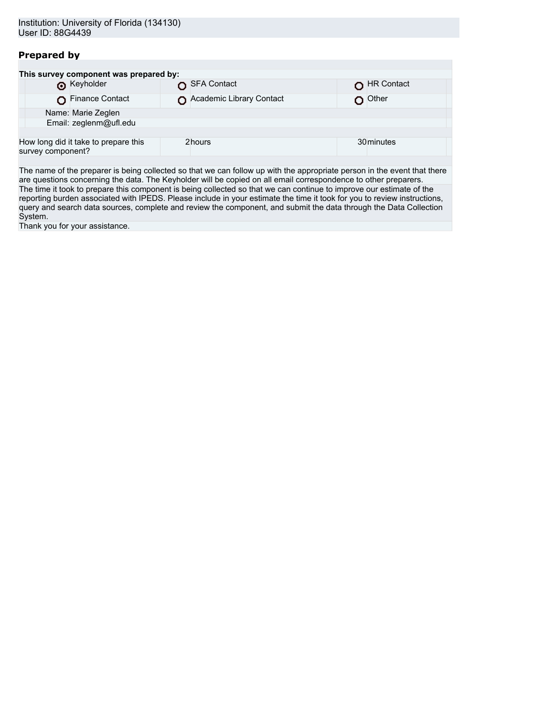# **Prepared by**

| This survey component was prepared by:                    |                          |            |
|-----------------------------------------------------------|--------------------------|------------|
| <b>O</b> Keyholder                                        | SFA Contact              | HR Contact |
| Finance Contact                                           | Academic Library Contact | Other      |
| Name: Marie Zeglen                                        |                          |            |
| Email: zeglenm@ufl.edu                                    |                          |            |
|                                                           |                          |            |
| How long did it take to prepare this<br>survey component? | 2hours                   | 30 minutes |
|                                                           |                          |            |

The name of the preparer is being collected so that we can follow up with the appropriate person in the event that there are questions concerning the data. The Keyholder will be copied on all email correspondence to other preparers. The time it took to prepare this component is being collected so that we can continue to improve our estimate of the reporting burden associated with IPEDS. Please include in your estimate the time it took for you to review instructions, query and search data sources, complete and review the component, and submit the data through the Data Collection System.

Thank you for your assistance.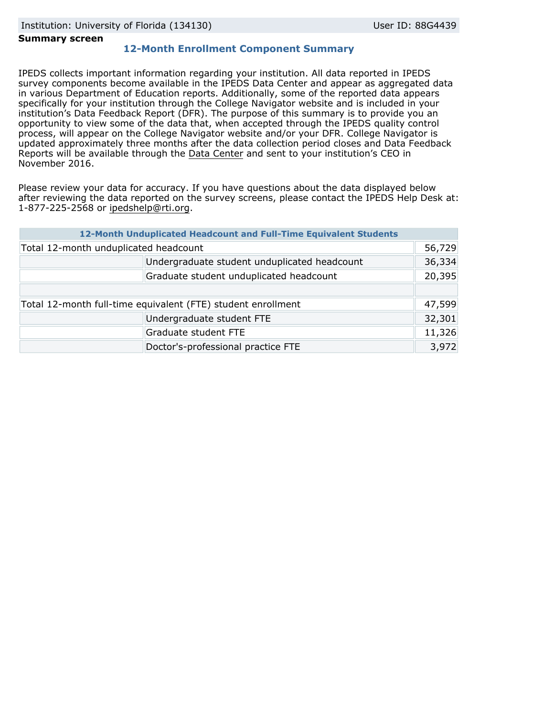### **Summary screen**

# **12-Month Enrollment Component Summary**

IPEDS collects important information regarding your institution. All data reported in IPEDS survey components become available in the IPEDS Data Center and appear as aggregated data in various Department of Education reports. Additionally, some of the reported data appears specifically for your institution through the College Navigator website and is included in your institution's Data Feedback Report (DFR). The purpose of this summary is to provide you an opportunity to view some of the data that, when accepted through the IPEDS quality control process, will appear on the College Navigator website and/or your DFR. College Navigator is updated approximately three months after the data collection period closes and Data Feedback Reports will be available through the [Data Center](http://nces.ed.gov/ipeds/datacenter/) and sent to your institution's CEO in November 2016.

Please review your data for accuracy. If you have questions about the data displayed below after reviewing the data reported on the survey screens, please contact the IPEDS Help Desk at: 1-877-225-2568 or ipedshelp@rti.org.

|                                                              | 12-Month Unduplicated Headcount and Full-Time Equivalent Students |        |
|--------------------------------------------------------------|-------------------------------------------------------------------|--------|
| Total 12-month unduplicated headcount                        |                                                                   | 56,729 |
|                                                              | Undergraduate student unduplicated headcount                      | 36,334 |
|                                                              | Graduate student unduplicated headcount                           | 20,395 |
|                                                              |                                                                   |        |
| Total 12-month full-time equivalent (FTE) student enrollment |                                                                   | 47,599 |
|                                                              | Undergraduate student FTE                                         | 32,301 |
|                                                              | Graduate student FTE                                              | 11,326 |
|                                                              | Doctor's-professional practice FTE                                | 3,972  |